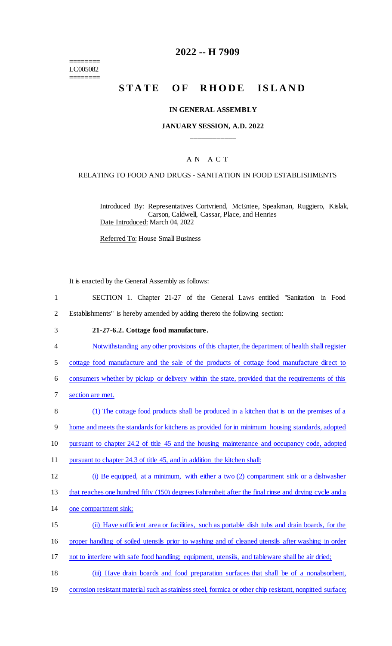======== LC005082 ========

## **2022 -- H 7909**

# **STATE OF RHODE ISLAND**

### **IN GENERAL ASSEMBLY**

## **JANUARY SESSION, A.D. 2022 \_\_\_\_\_\_\_\_\_\_\_\_**

## A N A C T

### RELATING TO FOOD AND DRUGS - SANITATION IN FOOD ESTABLISHMENTS

Introduced By: Representatives Cortvriend, McEntee, Speakman, Ruggiero, Kislak, Carson, Caldwell, Cassar, Place, and Henries Date Introduced: March 04, 2022

Referred To: House Small Business

It is enacted by the General Assembly as follows:

- 1 SECTION 1. Chapter 21-27 of the General Laws entitled "Sanitation in Food 2 Establishments" is hereby amended by adding thereto the following section:
- 3 **21-27-6.2. Cottage food manufacture.**
- 4 Notwithstanding any other provisions of this chapter, the department of health shall register
- 5 cottage food manufacture and the sale of the products of cottage food manufacture direct to

6 consumers whether by pickup or delivery within the state, provided that the requirements of this

- 7 section are met.
- 8 (1) The cottage food products shall be produced in a kitchen that is on the premises of a

9 home and meets the standards for kitchens as provided for in minimum housing standards, adopted

- 10 pursuant to chapter 24.2 of title 45 and the housing maintenance and occupancy code, adopted
- 11 pursuant to chapter 24.3 of title 45, and in addition the kitchen shall:
- 12 (i) Be equipped, at a minimum, with either a two (2) compartment sink or a dishwasher

13 that reaches one hundred fifty (150) degrees Fahrenheit after the final rinse and drying cycle and a

- 14 one compartment sink;
- 15 (ii) Have sufficient area or facilities, such as portable dish tubs and drain boards, for the
- 16 proper handling of soiled utensils prior to washing and of cleaned utensils after washing in order

17 not to interfere with safe food handling; equipment, utensils, and tableware shall be air dried;

- 18 (iii) Have drain boards and food preparation surfaces that shall be of a nonabsorbent,
- 19 corrosion resistant material such as stainless steel, formica or other chip resistant, nonpitted surface;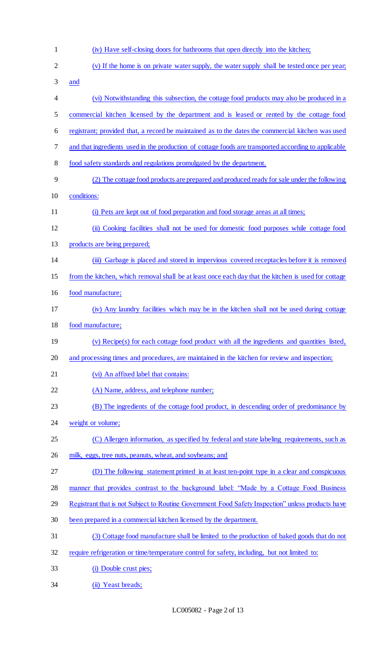| 1              | (iv) Have self-closing doors for bathrooms that open directly into the kitchen;                      |
|----------------|------------------------------------------------------------------------------------------------------|
| $\overline{2}$ | (v) If the home is on private water supply, the water supply shall be tested once per year;          |
| 3              | and                                                                                                  |
| 4              | (vi) Notwithstanding this subsection, the cottage food products may also be produced in a            |
| 5              | commercial kitchen licensed by the department and is leased or rented by the cottage food            |
| 6              | registrant; provided that, a record be maintained as to the dates the commercial kitchen was used    |
| 7              | and that ingredients used in the production of cottage foods are transported according to applicable |
| 8              | food safety standards and regulations promulgated by the department.                                 |
| 9              | (2) The cottage food products are prepared and produced ready for sale under the following           |
| 10             | conditions:                                                                                          |
| 11             | (i) Pets are kept out of food preparation and food storage areas at all times;                       |
| 12             | (ii) Cooking facilities shall not be used for domestic food purposes while cottage food              |
| 13             | products are being prepared;                                                                         |
| 14             | (iii) Garbage is placed and stored in impervious covered receptacles before it is removed            |
| 15             | from the kitchen, which removal shall be at least once each day that the kitchen is used for cottage |
| 16             | food manufacture;                                                                                    |
| 17             | (iv) Any laundry facilities which may be in the kitchen shall not be used during cottage             |
| 18             | food manufacture;                                                                                    |
| 19             | (v) Recipe(s) for each cottage food product with all the ingredients and quantities listed,          |
| 20             | and processing times and procedures, are maintained in the kitchen for review and inspection;        |
| 21             | (vi) An affixed label that contains:                                                                 |
| 22             | (A) Name, address, and telephone number;                                                             |
| 23             | (B) The ingredients of the cottage food product, in descending order of predominance by              |
| 24             | weight or volume;                                                                                    |
| 25             | (C) Allergen information, as specified by federal and state labeling requirements, such as           |
| 26             | milk, eggs, tree nuts, peanuts, wheat, and soybeans; and                                             |
| 27             | (D) The following statement printed in at least ten-point type in a clear and conspicuous            |
| 28             | manner that provides contrast to the background label: "Made by a Cottage Food Business"             |
| 29             | Registrant that is not Subject to Routine Government Food Safety Inspection" unless products have    |
| 30             | been prepared in a commercial kitchen licensed by the department.                                    |
| 31             | (3) Cottage food manufacture shall be limited to the production of baked goods that do not           |
| 32             | require refrigeration or time/temperature control for safety, including, but not limited to:         |
| 33             | (i) Double crust pies;                                                                               |
| 34             | (ii) Yeast breads;                                                                                   |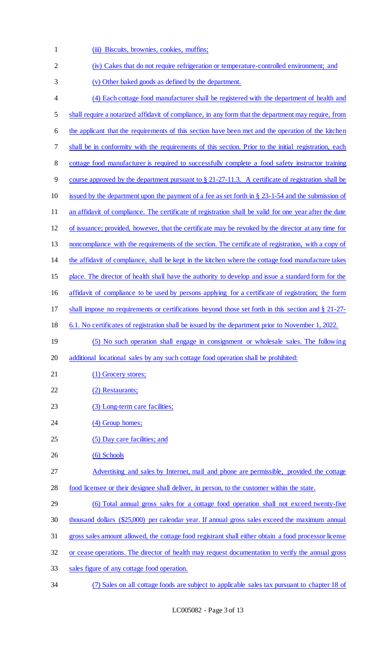(iii) Biscuits, brownies, cookies, muffins; (iv) Cakes that do not require refrigeration or temperature-controlled environment; and (v) Other baked goods as defined by the department. (4) Each cottage food manufacturer shall be registered with the department of health and shall require a notarized affidavit of compliance, in any form that the department may require, from the applicant that the requirements of this section have been met and the operation of the kitchen shall be in conformity with the requirements of this section. Prior to the initial registration, each cottage food manufacturer is required to successfully complete a food safety instructor training course approved by the department pursuant to § 21-27-11.3. A certificate of registration shall be issued by the department upon the payment of a fee as set forth in § 23-1-54 and the submission of 11 an affidavit of compliance. The certificate of registration shall be valid for one year after the date of issuance; provided, however, that the certificate may be revoked by the director at any time for noncompliance with the requirements of the section. The certificate of registration, with a copy of the affidavit of compliance, shall be kept in the kitchen where the cottage food manufacture takes place. The director of health shall have the authority to develop and issue a standard form for the affidavit of compliance to be used by persons applying for a certificate of registration; the form shall impose no requirements or certifications beyond those set forth in this section and § 21-27- 6.1. No certificates of registration shall be issued by the department prior to November 1, 2022. (5) No such operation shall engage in consignment or wholesale sales. The following additional locational sales by any such cottage food operation shall be prohibited: 21 (1) Grocery stores; 22 (2) Restaurants; 23 (3) Long-term care facilities; 24 (4) Group homes; 25 (5) Day care facilities; and 26 (6) Schools 27 Advertising and sales by Internet, mail and phone are permissible, provided the cottage food licensee or their designee shall deliver, in person, to the customer within the state. (6) Total annual gross sales for a cottage food operation shall not exceed twenty-five thousand dollars (\$25,000) per calendar year. If annual gross sales exceed the maximum annual gross sales amount allowed, the cottage food registrant shall either obtain a food processor license or cease operations. The director of health may request documentation to verify the annual gross sales figure of any cottage food operation.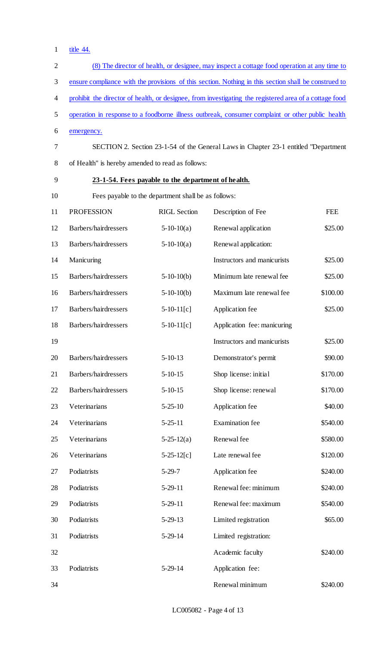1 <u>title 44.</u>

| $\overline{2}$ | (8) The director of health, or designee, may inspect a cottage food operation at any time to           |                     |                                                                                     |            |
|----------------|--------------------------------------------------------------------------------------------------------|---------------------|-------------------------------------------------------------------------------------|------------|
| 3              | ensure compliance with the provisions of this section. Nothing in this section shall be construed to   |                     |                                                                                     |            |
| 4              | prohibit the director of health, or designee, from investigating the registered area of a cottage food |                     |                                                                                     |            |
| 5              | operation in response to a foodborne illness outbreak, consumer complaint or other public health       |                     |                                                                                     |            |
| 6              | emergency.                                                                                             |                     |                                                                                     |            |
| 7              |                                                                                                        |                     | SECTION 2. Section 23-1-54 of the General Laws in Chapter 23-1 entitled "Department |            |
| 8              | of Health" is hereby amended to read as follows:                                                       |                     |                                                                                     |            |
| 9              | 23-1-54. Fees payable to the department of health.                                                     |                     |                                                                                     |            |
| 10             | Fees payable to the department shall be as follows:                                                    |                     |                                                                                     |            |
| 11             | <b>PROFESSION</b>                                                                                      | <b>RIGL</b> Section | Description of Fee                                                                  | <b>FEE</b> |
| 12             | Barbers/hairdressers                                                                                   | $5-10-10(a)$        | Renewal application                                                                 | \$25.00    |
| 13             | Barbers/hairdressers                                                                                   | $5-10-10(a)$        | Renewal application:                                                                |            |
| 14             | Manicuring                                                                                             |                     | Instructors and manicurists                                                         | \$25.00    |
| 15             | Barbers/hairdressers                                                                                   | $5-10-10(b)$        | Minimum late renewal fee                                                            | \$25.00    |
| 16             | Barbers/hairdressers                                                                                   | $5-10-10(b)$        | Maximum late renewal fee                                                            | \$100.00   |
| 17             | Barbers/hairdressers                                                                                   | $5-10-11[c]$        | Application fee                                                                     | \$25.00    |
| 18             | Barbers/hairdressers                                                                                   | $5-10-11[c]$        | Application fee: manicuring                                                         |            |
| 19             |                                                                                                        |                     | Instructors and manicurists                                                         | \$25.00    |
| 20             | Barbers/hairdressers                                                                                   | $5 - 10 - 13$       | Demonstrator's permit                                                               | \$90.00    |
| 21             | Barbers/hairdressers                                                                                   | $5-10-15$           | Shop license: initial                                                               | \$170.00   |
| 22             | Barbers/hairdressers                                                                                   | $5 - 10 - 15$       | Shop license: renewal                                                               | \$170.00   |
| 23             | Veterinarians                                                                                          | $5 - 25 - 10$       | Application fee                                                                     | \$40.00    |
| 24             | Veterinarians                                                                                          | $5 - 25 - 11$       | <b>Examination</b> fee                                                              | \$540.00   |
| 25             | Veterinarians                                                                                          | $5-25-12(a)$        | Renewal fee                                                                         | \$580.00   |
| 26             | Veterinarians                                                                                          | $5-25-12[c]$        | Late renewal fee                                                                    | \$120.00   |
| 27             | Podiatrists                                                                                            | $5-29-7$            | Application fee                                                                     | \$240.00   |
| 28             | Podiatrists                                                                                            | $5-29-11$           | Renewal fee: minimum                                                                | \$240.00   |
| 29             | Podiatrists                                                                                            | $5-29-11$           | Renewal fee: maximum                                                                | \$540.00   |
| 30             | Podiatrists                                                                                            | $5-29-13$           | Limited registration                                                                | \$65.00    |
| 31             | Podiatrists                                                                                            | $5-29-14$           | Limited registration:                                                               |            |
| 32             |                                                                                                        |                     | Academic faculty                                                                    | \$240.00   |
| 33             | Podiatrists                                                                                            | $5-29-14$           | Application fee:                                                                    |            |
| 34             |                                                                                                        |                     | Renewal minimum                                                                     | \$240.00   |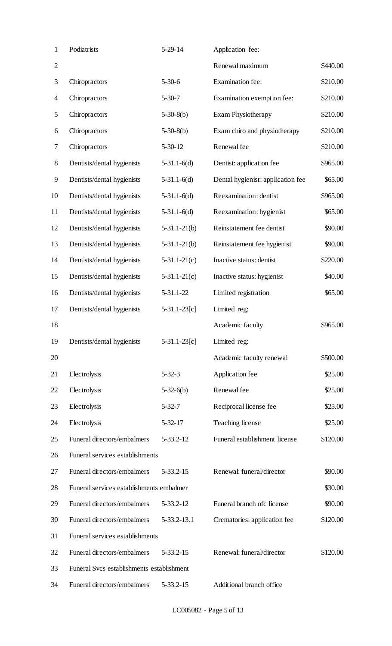| $\mathbf{1}$   | Podiatrists                               | $5-29-14$       | Application fee:                  |          |
|----------------|-------------------------------------------|-----------------|-----------------------------------|----------|
| $\mathbf{2}$   |                                           |                 | Renewal maximum                   | \$440.00 |
| 3              | Chiropractors                             | $5 - 30 - 6$    | <b>Examination fee:</b>           | \$210.00 |
| $\overline{4}$ | Chiropractors                             | $5 - 30 - 7$    | Examination exemption fee:        | \$210.00 |
| 5              | Chiropractors                             | $5-30-8(b)$     | <b>Exam Physiotherapy</b>         | \$210.00 |
| 6              | Chiropractors                             | $5-30-8(b)$     | Exam chiro and physiotherapy      | \$210.00 |
| 7              | Chiropractors                             | $5 - 30 - 12$   | Renewal fee                       | \$210.00 |
| $8\,$          | Dentists/dental hygienists                | $5-31.1-6(d)$   | Dentist: application fee          | \$965.00 |
| 9              | Dentists/dental hygienists                | $5-31.1-6(d)$   | Dental hygienist: application fee | \$65.00  |
| 10             | Dentists/dental hygienists                | $5-31.1-6(d)$   | Reexamination: dentist            | \$965.00 |
| 11             | Dentists/dental hygienists                | $5-31.1-6(d)$   | Reexamination: hygienist          | \$65.00  |
| 12             | Dentists/dental hygienists                | $5-31.1-21(b)$  | Reinstatement fee dentist         | \$90.00  |
| 13             | Dentists/dental hygienists                | $5-31.1-21(b)$  | Reinstatement fee hygienist       | \$90.00  |
| 14             | Dentists/dental hygienists                | $5-31.1-21(c)$  | Inactive status: dentist          | \$220.00 |
| 15             | Dentists/dental hygienists                | $5-31.1-21(c)$  | Inactive status: hygienist        | \$40.00  |
| 16             | Dentists/dental hygienists                | 5-31.1-22       | Limited registration              | \$65.00  |
| 17             | Dentists/dental hygienists                | $5-31.1-23[c]$  | Limited reg:                      |          |
| 18             |                                           |                 | Academic faculty                  | \$965.00 |
| 19             | Dentists/dental hygienists                | $5-31.1-23[c]$  | Limited reg:                      |          |
| 20             |                                           |                 | Academic faculty renewal          | \$500.00 |
| 21             | Electrolysis                              | $5 - 32 - 3$    | Application fee                   | \$25.00  |
| 22             | Electrolysis                              | $5-32-6(b)$     | Renewal fee                       | \$25.00  |
| 23             | Electrolysis                              | $5 - 32 - 7$    | Reciprocal license fee            | \$25.00  |
| 24             | Electrolysis                              | $5 - 32 - 17$   | Teaching license                  | \$25.00  |
| 25             | Funeral directors/embalmers               | 5-33.2-12       | Funeral establishment license     | \$120.00 |
| 26             | Funeral services establishments           |                 |                                   |          |
| 27             | Funeral directors/embalmers               | $5 - 33.2 - 15$ | Renewal: funeral/director         | \$90.00  |
| 28             | Funeral services establishments embalmer  |                 |                                   | \$30.00  |
| 29             | Funeral directors/embalmers               | 5-33.2-12       | Funeral branch ofc license        | \$90.00  |
| 30             | Funeral directors/embalmers               | 5-33.2-13.1     | Crematories: application fee      | \$120.00 |
| 31             | Funeral services establishments           |                 |                                   |          |
| 32             | Funeral directors/embalmers               | $5 - 33.2 - 15$ | Renewal: funeral/director         | \$120.00 |
| 33             | Funeral Svcs establishments establishment |                 |                                   |          |
| 34             | Funeral directors/embalmers               | $5 - 33.2 - 15$ | Additional branch office          |          |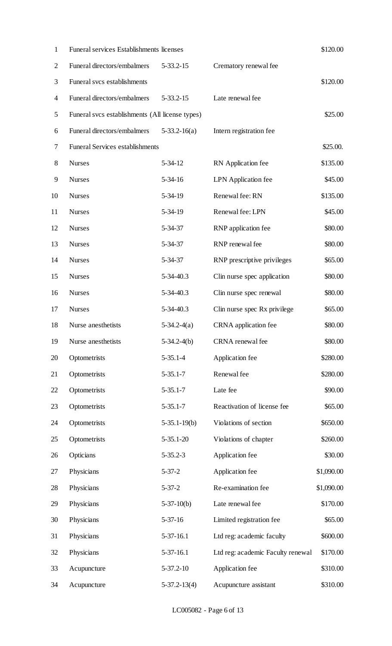| $\mathbf{1}$   | <b>Funeral services Establishments licenses</b> |                 |                                   | \$120.00   |
|----------------|-------------------------------------------------|-----------------|-----------------------------------|------------|
| $\overline{2}$ | Funeral directors/embalmers                     | $5 - 33.2 - 15$ | Crematory renewal fee             |            |
| 3              | Funeral svcs establishments                     |                 |                                   | \$120.00   |
| 4              | Funeral directors/embalmers                     | $5 - 33.2 - 15$ | Late renewal fee                  |            |
| 5              | Funeral svcs establishments (All license types) |                 |                                   | \$25.00    |
| 6              | Funeral directors/embalmers                     | $5-33.2-16(a)$  | Intern registration fee           |            |
| 7              | <b>Funeral Services establishments</b>          |                 |                                   | \$25.00.   |
| $8\,$          | <b>Nurses</b>                                   | $5 - 34 - 12$   | RN Application fee                | \$135.00   |
| 9              | <b>Nurses</b>                                   | $5 - 34 - 16$   | LPN Application fee               | \$45.00    |
| 10             | <b>Nurses</b>                                   | $5 - 34 - 19$   | Renewal fee: RN                   | \$135.00   |
| 11             | <b>Nurses</b>                                   | $5 - 34 - 19$   | Renewal fee: LPN                  | \$45.00    |
| 12             | <b>Nurses</b>                                   | $5 - 34 - 37$   | RNP application fee               | \$80.00    |
| 13             | <b>Nurses</b>                                   | $5 - 34 - 37$   | RNP renewal fee                   | \$80.00    |
| 14             | <b>Nurses</b>                                   | $5 - 34 - 37$   | RNP prescriptive privileges       | \$65.00    |
| 15             | <b>Nurses</b>                                   | $5 - 34 - 40.3$ | Clin nurse spec application       | \$80.00    |
| 16             | <b>Nurses</b>                                   | $5 - 34 - 40.3$ | Clin nurse spec renewal           | \$80.00    |
| 17             | <b>Nurses</b>                                   | $5 - 34 - 40.3$ | Clin nurse spec Rx privilege      | \$65.00    |
| 18             | Nurse anesthetists                              | $5-34.2-4(a)$   | CRNA application fee              | \$80.00    |
| 19             | Nurse anesthetists                              | $5-34.2-4(b)$   | CRNA renewal fee                  | \$80.00    |
| 20             | Optometrists                                    | $5-35.1-4$      | Application fee                   | \$280.00   |
| 21             | Optometrists                                    | $5 - 35.1 - 7$  | Renewal fee                       | \$280.00   |
| 22             | Optometrists                                    | $5 - 35.1 - 7$  | Late fee                          | \$90.00    |
| 23             | Optometrists                                    | $5 - 35.1 - 7$  | Reactivation of license fee       | \$65.00    |
| 24             | Optometrists                                    | $5-35.1-19(b)$  | Violations of section             | \$650.00   |
| 25             | Optometrists                                    | $5 - 35.1 - 20$ | Violations of chapter             | \$260.00   |
| 26             | Opticians                                       | $5 - 35.2 - 3$  | Application fee                   | \$30.00    |
| 27             | Physicians                                      | $5 - 37 - 2$    | Application fee                   | \$1,090.00 |
| 28             | Physicians                                      | $5 - 37 - 2$    | Re-examination fee                | \$1,090.00 |
| 29             | Physicians                                      | $5-37-10(b)$    | Late renewal fee                  | \$170.00   |
| 30             | Physicians                                      | $5 - 37 - 16$   | Limited registration fee          | \$65.00    |
| 31             | Physicians                                      | $5-37-16.1$     | Ltd reg: academic faculty         | \$600.00   |
| 32             | Physicians                                      | $5-37-16.1$     | Ltd reg: academic Faculty renewal | \$170.00   |
| 33             | Acupuncture                                     | $5 - 37.2 - 10$ | Application fee                   | \$310.00   |
| 34             | Acupuncture                                     | $5-37.2-13(4)$  | Acupuncture assistant             | \$310.00   |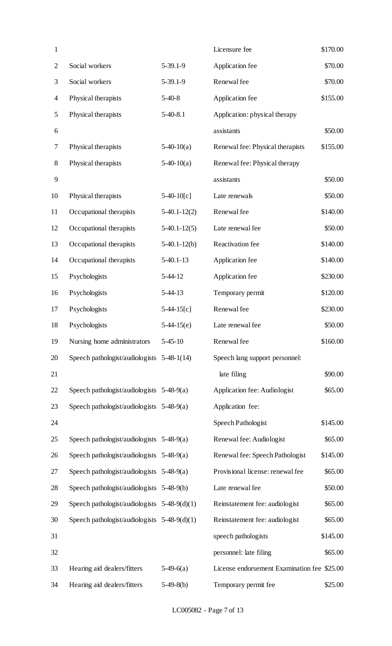| $\mathbf{1}$   |                                                |                | Licensure fee                               | \$170.00 |
|----------------|------------------------------------------------|----------------|---------------------------------------------|----------|
| $\overline{2}$ | Social workers                                 | $5-39.1-9$     | Application fee                             | \$70.00  |
| 3              | Social workers                                 | 5-39.1-9       | Renewal fee                                 | \$70.00  |
| 4              | Physical therapists                            | $5-40-8$       | Application fee                             | \$155.00 |
| 5              | Physical therapists                            | $5-40-8.1$     | Application: physical therapy               |          |
| 6              |                                                |                | assistants                                  | \$50.00  |
| 7              | Physical therapists                            | $5-40-10(a)$   | Renewal fee: Physical therapists            | \$155.00 |
| $8\,$          | Physical therapists                            | $5-40-10(a)$   | Renewal fee: Physical therapy               |          |
| 9              |                                                |                | assistants                                  | \$50.00  |
| 10             | Physical therapists                            | $5-40-10[c]$   | Late renewals                               | \$50.00  |
| 11             | Occupational therapists                        | $5-40.1-12(2)$ | Renewal fee                                 | \$140.00 |
| 12             | Occupational therapists                        | $5-40.1-12(5)$ | Late renewal fee                            | \$50.00  |
| 13             | Occupational therapists                        | $5-40.1-12(b)$ | Reactivation fee                            | \$140.00 |
| 14             | Occupational therapists                        | $5-40.1-13$    | Application fee                             | \$140.00 |
| 15             | Psychologists                                  | $5 - 44 - 12$  | Application fee                             | \$230.00 |
| 16             | Psychologists                                  | $5-44-13$      | Temporary permit                            | \$120.00 |
| 17             | Psychologists                                  | $5-44-15[c]$   | Renewal fee                                 | \$230.00 |
| 18             | Psychologists                                  | $5-44-15(e)$   | Late renewal fee                            | \$50.00  |
| 19             | Nursing home administrators                    | $5 - 45 - 10$  | Renewal fee                                 | \$160.00 |
| 20             | Speech pathologist/audiologists 5-48-1(14)     |                | Speech lang support personnel:              |          |
| 21             |                                                |                | late filing                                 | \$90.00  |
| 22             | Speech pathologist/audiologists $5-48-9(a)$    |                | Application fee: Audiologist                | \$65.00  |
| 23             | Speech pathologist/audiologists $5-48-9(a)$    |                | Application fee:                            |          |
| 24             |                                                |                | Speech Pathologist                          | \$145.00 |
| 25             | Speech pathologist/audiologists 5-48-9(a)      |                | Renewal fee: Audiologist                    | \$65.00  |
| 26             | Speech pathologist/audiologists 5-48-9(a)      |                | Renewal fee: Speech Pathologist             | \$145.00 |
| 27             | Speech pathologist/audiologists 5-48-9(a)      |                | Provisional license: renewal fee            | \$65.00  |
| 28             | Speech pathologist/audiologists 5-48-9(b)      |                | Late renewal fee                            | \$50.00  |
| 29             | Speech pathologist/audiologists $5-48-9(d)(1)$ |                | Reinstatement fee: audiologist              | \$65.00  |
| 30             | Speech pathologist/audiologists $5-48-9(d)(1)$ |                | Reinstatement fee: audiologist              | \$65.00  |
| 31             |                                                |                | speech pathologists                         | \$145.00 |
| 32             |                                                |                | personnel: late filing                      | \$65.00  |
| 33             | Hearing aid dealers/fitters                    | $5-49-6(a)$    | License endorsement Examination fee \$25.00 |          |
| 34             | Hearing aid dealers/fitters                    | $5-49-8(b)$    | Temporary permit fee                        | \$25.00  |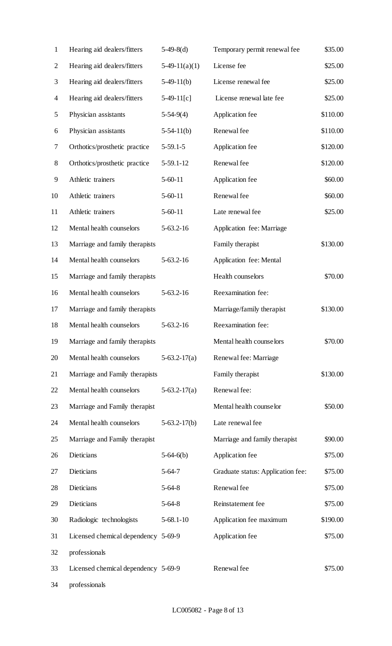| $\mathbf{1}$   | Hearing aid dealers/fitters         | $5-49-8(d)$     | Temporary permit renewal fee      | \$35.00  |
|----------------|-------------------------------------|-----------------|-----------------------------------|----------|
| $\overline{2}$ | Hearing aid dealers/fitters         | $5-49-11(a)(1)$ | License fee                       | \$25.00  |
| 3              | Hearing aid dealers/fitters         | $5-49-11(b)$    | License renewal fee               | \$25.00  |
| $\overline{4}$ | Hearing aid dealers/fitters         | $5-49-11[c]$    | License renewal late fee          | \$25.00  |
| 5              | Physician assistants                | $5-54-9(4)$     | Application fee                   | \$110.00 |
| 6              | Physician assistants                | $5-54-11(b)$    | Renewal fee                       | \$110.00 |
| 7              | Orthotics/prosthetic practice       | $5-59.1-5$      | Application fee                   | \$120.00 |
| $8\,$          | Orthotics/prosthetic practice       | $5-59.1-12$     | Renewal fee                       | \$120.00 |
| 9              | Athletic trainers                   | $5 - 60 - 11$   | Application fee                   | \$60.00  |
| 10             | Athletic trainers                   | $5-60-11$       | Renewal fee                       | \$60.00  |
| 11             | Athletic trainers                   | $5-60-11$       | Late renewal fee                  | \$25.00  |
| 12             | Mental health counselors            | $5 - 63.2 - 16$ | Application fee: Marriage         |          |
| 13             | Marriage and family therapists      |                 | Family therapist                  | \$130.00 |
| 14             | Mental health counselors            | $5-63.2-16$     | Application fee: Mental           |          |
| 15             | Marriage and family therapists      |                 | Health counselors                 | \$70.00  |
| 16             | Mental health counselors            | $5-63.2-16$     | Reexamination fee:                |          |
| 17             | Marriage and family therapists      |                 | Marriage/family therapist         | \$130.00 |
| 18             | Mental health counselors            | $5 - 63.2 - 16$ | Reexamination fee:                |          |
| 19             | Marriage and family therapists      |                 | Mental health counselors          | \$70.00  |
| 20             | Mental health counselors            | $5-63.2-17(a)$  | Renewal fee: Marriage             |          |
| 21             | Marriage and Family therapists      |                 | Family therapist                  | \$130.00 |
| 22             | Mental health counselors            | $5-63.2-17(a)$  | Renewal fee:                      |          |
| 23             | Marriage and Family therapist       |                 | Mental health counselor           | \$50.00  |
| 24             | Mental health counselors            | $5-63.2-17(b)$  | Late renewal fee                  |          |
| 25             | Marriage and Family therapist       |                 | Marriage and family therapist     | \$90.00  |
| 26             | Dieticians                          | $5-64-6(b)$     | Application fee                   | \$75.00  |
| 27             | Dieticians                          | $5-64-7$        | Graduate status: Application fee: | \$75.00  |
| 28             | Dieticians                          | $5-64-8$        | Renewal fee                       | \$75.00  |
| 29             | Dieticians                          | $5-64-8$        | Reinstatement fee                 | \$75.00  |
| 30             | Radiologic technologists            | $5 - 68.1 - 10$ | Application fee maximum           | \$190.00 |
| 31             | Licensed chemical dependency 5-69-9 |                 | Application fee                   | \$75.00  |
| 32             | professionals                       |                 |                                   |          |
| 33             | Licensed chemical dependency 5-69-9 |                 | Renewal fee                       | \$75.00  |
| 34             | professionals                       |                 |                                   |          |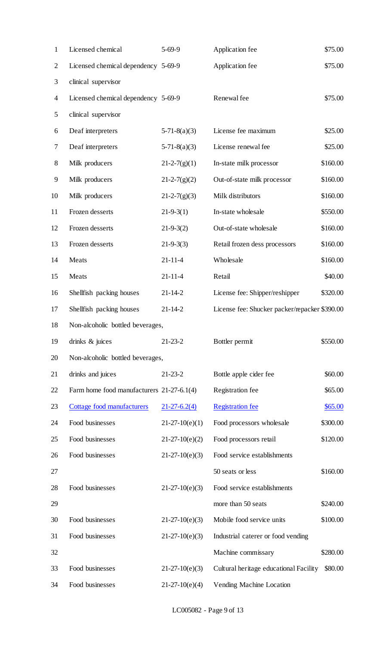| 1              | Licensed chemical                         | $5-69-9$           | Application fee                               | \$75.00  |
|----------------|-------------------------------------------|--------------------|-----------------------------------------------|----------|
| $\overline{2}$ | Licensed chemical dependency 5-69-9       |                    | Application fee                               | \$75.00  |
| 3              | clinical supervisor                       |                    |                                               |          |
| 4              | Licensed chemical dependency 5-69-9       |                    | Renewal fee                                   | \$75.00  |
| 5              | clinical supervisor                       |                    |                                               |          |
| 6              | Deaf interpreters                         | $5-71-8(a)(3)$     | License fee maximum                           | \$25.00  |
| 7              | Deaf interpreters                         | $5-71-8(a)(3)$     | License renewal fee                           | \$25.00  |
| $8\,$          | Milk producers                            | $21 - 2 - 7(g)(1)$ | In-state milk processor                       | \$160.00 |
| 9              | Milk producers                            | $21 - 2 - 7(g)(2)$ | Out-of-state milk processor                   | \$160.00 |
| 10             | Milk producers                            | $21 - 2 - 7(g)(3)$ | Milk distributors                             | \$160.00 |
| 11             | Frozen desserts                           | $21-9-3(1)$        | In-state wholesale                            | \$550.00 |
| 12             | Frozen desserts                           | $21 - 9 - 3(2)$    | Out-of-state wholesale                        | \$160.00 |
| 13             | Frozen desserts                           | $21 - 9 - 3(3)$    | Retail frozen dess processors                 | \$160.00 |
| 14             | Meats                                     | $21 - 11 - 4$      | Wholesale                                     | \$160.00 |
| 15             | Meats                                     | $21 - 11 - 4$      | Retail                                        | \$40.00  |
| 16             | Shellfish packing houses                  | $21 - 14 - 2$      | License fee: Shipper/reshipper                | \$320.00 |
| 17             | Shellfish packing houses                  | $21 - 14 - 2$      | License fee: Shucker packer/repacker \$390.00 |          |
| 18             | Non-alcoholic bottled beverages,          |                    |                                               |          |
| 19             | drinks & juices                           | $21 - 23 - 2$      | Bottler permit                                | \$550.00 |
| 20             | Non-alcoholic bottled beverages,          |                    |                                               |          |
| 21             | drinks and juices                         | $21 - 23 - 2$      | Bottle apple cider fee                        | \$60.00  |
| 22             | Farm home food manufacturers 21-27-6.1(4) |                    | Registration fee                              | \$65.00  |
| 23             | Cottage food manufacturers                | $21 - 27 - 6.2(4)$ | <b>Registration fee</b>                       | \$65.00  |
| 24             | Food businesses                           | $21-27-10(e)(1)$   | Food processors wholesale                     | \$300.00 |
| 25             | Food businesses                           | $21-27-10(e)(2)$   | Food processors retail                        | \$120.00 |
| 26             | Food businesses                           | $21-27-10(e)(3)$   | Food service establishments                   |          |
| 27             |                                           |                    | 50 seats or less                              | \$160.00 |
| 28             | Food businesses                           | $21-27-10(e)(3)$   | Food service establishments                   |          |
| 29             |                                           |                    | more than 50 seats                            | \$240.00 |
| 30             | Food businesses                           | $21-27-10(e)(3)$   | Mobile food service units                     | \$100.00 |
| 31             | Food businesses                           | $21-27-10(e)(3)$   | Industrial caterer or food vending            |          |
| 32             |                                           |                    | Machine commissary                            | \$280.00 |
| 33             | Food businesses                           | $21-27-10(e)(3)$   | Cultural heritage educational Facility        | \$80.00  |
| 34             | Food businesses                           | $21-27-10(e)(4)$   | Vending Machine Location                      |          |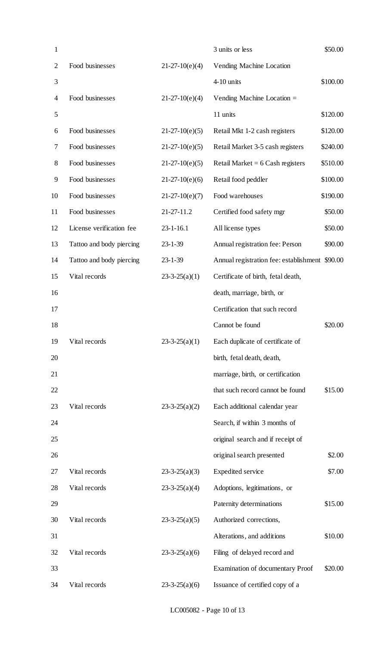| $\mathbf{1}$   |                          |                     | 3 units or less                                | \$50.00  |
|----------------|--------------------------|---------------------|------------------------------------------------|----------|
| $\overline{2}$ | Food businesses          | $21-27-10(e)(4)$    | Vending Machine Location                       |          |
| 3              |                          |                     | 4-10 units                                     | \$100.00 |
| 4              | Food businesses          | $21-27-10(e)(4)$    | Vending Machine Location $=$                   |          |
| 5              |                          |                     | 11 units                                       | \$120.00 |
| 6              | Food businesses          | $21-27-10(e)(5)$    | Retail Mkt 1-2 cash registers                  | \$120.00 |
| 7              | Food businesses          | $21-27-10(e)(5)$    | Retail Market 3-5 cash registers               | \$240.00 |
| 8              | Food businesses          | $21-27-10(e)(5)$    | Retail Market = $6$ Cash registers             | \$510.00 |
| 9              | Food businesses          | $21-27-10(e)(6)$    | Retail food peddler                            | \$100.00 |
| 10             | Food businesses          | $21-27-10(e)(7)$    | Food warehouses                                | \$190.00 |
| 11             | Food businesses          | 21-27-11.2          | Certified food safety mgr                      | \$50.00  |
| 12             | License verification fee | $23 - 1 - 16.1$     | All license types                              | \$50.00  |
| 13             | Tattoo and body piercing | $23 - 1 - 39$       | Annual registration fee: Person                | \$90.00  |
| 14             | Tattoo and body piercing | $23 - 1 - 39$       | Annual registration fee: establishment \$90.00 |          |
| 15             | Vital records            | $23-3-25(a)(1)$     | Certificate of birth, fetal death,             |          |
| 16             |                          |                     | death, marriage, birth, or                     |          |
| 17             |                          |                     | Certification that such record                 |          |
| 18             |                          |                     | Cannot be found                                | \$20.00  |
| 19             | Vital records            | $23-3-25(a)(1)$     | Each duplicate of certificate of               |          |
| 20             |                          |                     | birth, fetal death, death,                     |          |
| 21             |                          |                     | marriage, birth, or certification              |          |
| 22             |                          |                     | that such record cannot be found               | \$15.00  |
| 23             | Vital records            | $23 - 3 - 25(a)(2)$ | Each additional calendar year                  |          |
| 24             |                          |                     | Search, if within 3 months of                  |          |
| 25             |                          |                     | original search and if receipt of              |          |
| 26             |                          |                     | original search presented                      | \$2.00   |
| 27             | Vital records            | $23 - 3 - 25(a)(3)$ | <b>Expedited service</b>                       | \$7.00   |
| 28             | Vital records            | $23-3-25(a)(4)$     | Adoptions, legitimations, or                   |          |
| 29             |                          |                     | Paternity determinations                       | \$15.00  |
| 30             | Vital records            | $23-3-25(a)(5)$     | Authorized corrections,                        |          |
| 31             |                          |                     | Alterations, and additions                     | \$10.00  |
| 32             | Vital records            | $23-3-25(a)(6)$     | Filing of delayed record and                   |          |
| 33             |                          |                     | <b>Examination of documentary Proof</b>        | \$20.00  |
| 34             | Vital records            | $23 - 3 - 25(a)(6)$ | Issuance of certified copy of a                |          |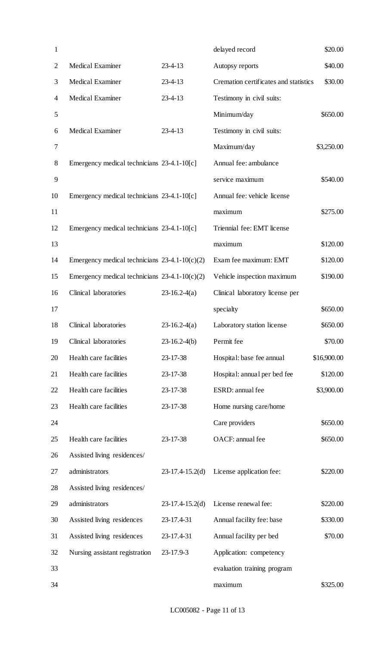| $\mathbf{1}$   |                                                 |                   | delayed record                        | \$20.00     |
|----------------|-------------------------------------------------|-------------------|---------------------------------------|-------------|
| $\overline{2}$ | Medical Examiner                                | $23 - 4 - 13$     | Autopsy reports                       | \$40.00     |
| 3              | <b>Medical Examiner</b>                         | $23 - 4 - 13$     | Cremation certificates and statistics | \$30.00     |
| 4              | Medical Examiner                                | $23 - 4 - 13$     | Testimony in civil suits:             |             |
| 5              |                                                 |                   | Minimum/day                           | \$650.00    |
| 6              | Medical Examiner                                | $23 - 4 - 13$     | Testimony in civil suits:             |             |
| 7              |                                                 |                   | Maximum/day                           | \$3,250.00  |
| 8              | Emergency medical technicians 23-4.1-10[c]      |                   | Annual fee: ambulance                 |             |
| 9              |                                                 |                   | service maximum                       | \$540.00    |
| 10             | Emergency medical technicians 23-4.1-10[c]      |                   | Annual fee: vehicle license           |             |
| 11             |                                                 |                   | maximum                               | \$275.00    |
| 12             | Emergency medical technicians 23-4.1-10[c]      |                   | Triennial fee: EMT license            |             |
| 13             |                                                 |                   | maximum                               | \$120.00    |
| 14             | Emergency medical technicians $23-4.1-10(c)(2)$ |                   | Exam fee maximum: EMT                 | \$120.00    |
| 15             | Emergency medical technicians $23-4.1-10(c)(2)$ |                   | Vehicle inspection maximum            | \$190.00    |
| 16             | Clinical laboratories                           | $23-16.2-4(a)$    | Clinical laboratory license per       |             |
| 17             |                                                 |                   | specialty                             | \$650.00    |
| 18             | Clinical laboratories                           | $23-16.2-4(a)$    | Laboratory station license            | \$650.00    |
| 19             | Clinical laboratories                           | $23-16.2-4(b)$    | Permit fee                            | \$70.00     |
| 20             | Health care facilities                          | 23-17-38          | Hospital: base fee annual             | \$16,900.00 |
| 21             | Health care facilities                          | 23-17-38          | Hospital: annual per bed fee          | \$120.00    |
| 22             | Health care facilities                          | 23-17-38          | ESRD: annual fee                      | \$3,900.00  |
| 23             | Health care facilities                          | 23-17-38          | Home nursing care/home                |             |
| 24             |                                                 |                   | Care providers                        | \$650.00    |
| 25             | Health care facilities                          | 23-17-38          | OACF: annual fee                      | \$650.00    |
| 26             | Assisted living residences/                     |                   |                                       |             |
| 27             | administrators                                  | $23-17.4-15.2(d)$ | License application fee:              | \$220.00    |
| 28             | Assisted living residences/                     |                   |                                       |             |
| 29             | administrators                                  | $23-17.4-15.2(d)$ | License renewal fee:                  | \$220.00    |
| 30             | Assisted living residences                      | 23-17.4-31        | Annual facility fee: base             | \$330.00    |
| 31             | Assisted living residences                      | 23-17.4-31        | Annual facility per bed               | \$70.00     |
| 32             | Nursing assistant registration                  | 23-17.9-3         | Application: competency               |             |
| 33             |                                                 |                   | evaluation training program           |             |
| 34             |                                                 |                   | maximum                               | \$325.00    |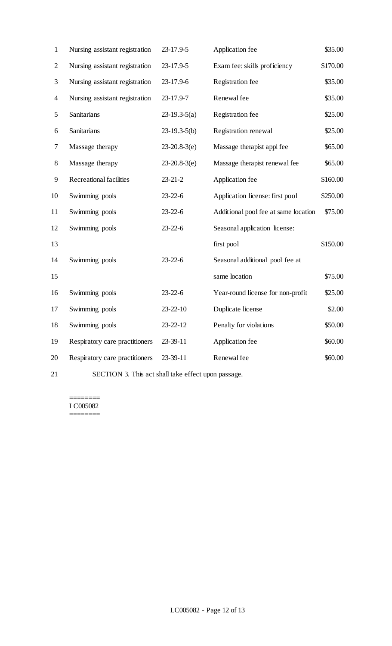| $\mathbf{1}$   | Nursing assistant registration | 23-17.9-5      | Application fee                      | \$35.00  |
|----------------|--------------------------------|----------------|--------------------------------------|----------|
| $\overline{2}$ | Nursing assistant registration | 23-17.9-5      | Exam fee: skills proficiency         | \$170.00 |
| 3              | Nursing assistant registration | 23-17.9-6      | Registration fee                     | \$35.00  |
| 4              | Nursing assistant registration | 23-17.9-7      | Renewal fee                          | \$35.00  |
| 5              | Sanitarians                    | $23-19.3-5(a)$ | Registration fee                     | \$25.00  |
| 6              | Sanitarians                    | $23-19.3-5(b)$ | Registration renewal                 | \$25.00  |
| 7              | Massage therapy                | $23-20.8-3(e)$ | Massage therapist appl fee           | \$65.00  |
| 8              | Massage therapy                | $23-20.8-3(e)$ | Massage therapist renewal fee        | \$65.00  |
| 9              | <b>Recreational facilities</b> | $23 - 21 - 2$  | Application fee                      | \$160.00 |
| 10             | Swimming pools                 | $23 - 22 - 6$  | Application license: first pool      | \$250.00 |
| 11             | Swimming pools                 | $23 - 22 - 6$  | Additional pool fee at same location | \$75.00  |
| 12             | Swimming pools                 | $23 - 22 - 6$  | Seasonal application license:        |          |
| 13             |                                |                | first pool                           | \$150.00 |
| 14             | Swimming pools                 | $23 - 22 - 6$  | Seasonal additional pool fee at      |          |
| 15             |                                |                | same location                        | \$75.00  |
| 16             | Swimming pools                 | $23 - 22 - 6$  | Year-round license for non-profit    | \$25.00  |
| 17             | Swimming pools                 | 23-22-10       | Duplicate license                    | \$2.00   |
| 18             | Swimming pools                 | 23-22-12       | Penalty for violations               | \$50.00  |
| 19             | Respiratory care practitioners | 23-39-11       | Application fee                      | \$60.00  |
| 20             | Respiratory care practitioners | 23-39-11       | Renewal fee                          | \$60.00  |
|                |                                |                |                                      |          |

SECTION 3. This act shall take effect upon passage.

======== LC005082 ========